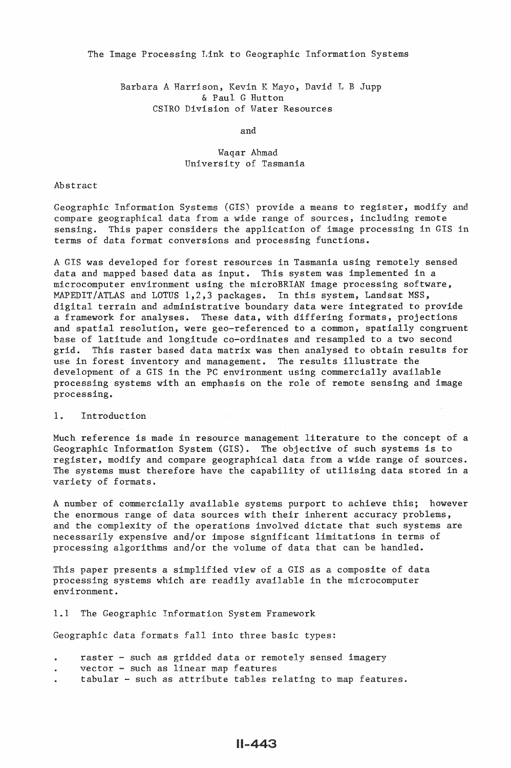The Image Processing Link to Geographic Information Systems

Barbara A Harrison, Kevin K Mayo, David L B Jupp & Paul G Hutton CSIRO Division of Water Resources

and

# Waqar Ahmad University of Tasmania

### Abstract

Geographic Information Systems (GIS) provide a means to register, modify and compare geographical data from a wide range of sources, including remote sensing. This paper considers the application of image processing in GIS in terms of data format conversions and processing functions.

A GIS was developed for forest resources in Tasmania using remotely sensed data and mapped based data as input. This system was implemented in a microcomputer environment using the microBRIAN image processing software, MAPEDIT/ATLAS and LOTUS 1,2,3 packages. In this system, Landsat MSS, digital terrain and administrative boundary data were integrated to provide a framework for analyses. These data, with differing formats, projections and spatial resolution, were gee-referenced to a common, spatially congruent base of latitude and longitude co-ordinates and resampled to a two second grid. This raster based data matrix was then analysed to obtain results in This raster based data matrix was then analysed to obtain results for use in forest inventory and management. The results illustrate the development of a GIS in the PC environment using commercially available processing systems with an emphasis on the role of remote sensing and image processing.

## 1. Introduction

Much reference is made in resource management literature to the concept of a Geographic Information System (GIS). The objective of such systems is to register, modify and compare geographical data from a wide range of sources. The systems must therefore have the capability of utilising data stored in a variety of formats.

A number of commercially available systems purport to achieve this; however the enormous range of data sources with their inherent accuracy problems, and the complexity of the operations involved dictate that such systems are necessarily expensive and/or impose significant limitations in terms of processing algorithms and/or the volume of data that can be handled.

This paper presents a simplified view of a GIS as a composite of data processing systems which are readily available in the microcomputer environment.

1.1 The Geographic Information System Framework

Geographic data formats fall into three basic types:

- raster such as gridded data or remotely sensed imagery
- vector such as linear map features
- tabular such as attribute tables relating to map features.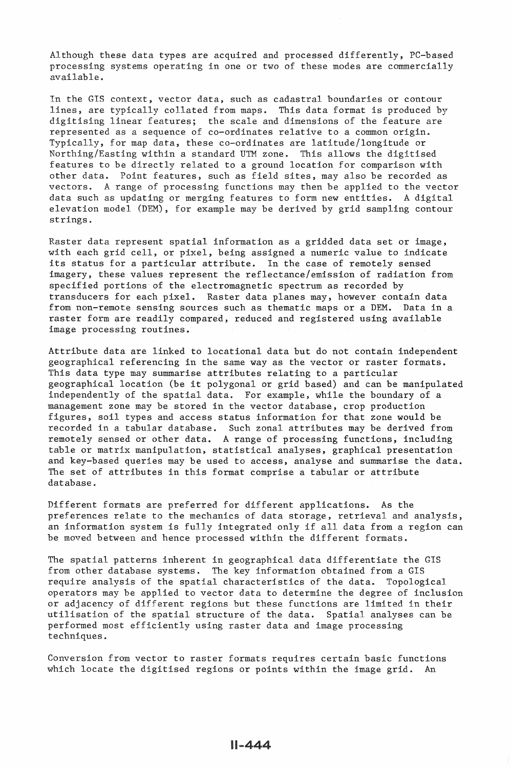Although these data types are acquired and processed differently, PC-based processing systems operating in one or two of these modes are commercially available.

In the GIS context, vector data, such as cadastral boundaries or contour lines, are typically collated from maps. This data format is produced by digitising linear features; the scale and dimensions of the feature are represented as a sequence of co-ordinates relative to a common origin. Typically, for map data, these co-ordinates are latitude/longitude or Northing/Easting within a standard UTM zone. This allows the digitised features to be directly related to a ground location for comparison with other data. Point features, such as field sites, may also be recorded as vectors. A range of processing functions may then be applied to the vector data such as updating or merging features to form new entities. A digital elevation model (DEM), for example may be derived by grid sampling contour strings.

Raster data represent spatial information as a gridded data set or image, with each grid cell, or pixel, being assigned a numeric value to indicate its status for a particular attribute. In the case of remotely sensed imagery, these values represent the reflectance/emission of radiation from specified portions of the electromagnetic spectrum as recorded by transducers for each pixel. Raster data planes may, however contain data from non-remote sensing sources such as thematic maps or a DEM. Data in a raster form are readily compared, reduced and registered using available image processing routines.

Attribute data are linked to locational data but do not contain independent geographical referencing in the same way as the vector or raster formats. This data type may summarise attributes relating to a particular geographical location (be it polygonal or grid based) and can be manipulated independently of the spatial data. For example, while the boundary of a management zone may be stored in the vector database, crop production figures, soil types and access status information for that zone would be recorded in a tabular database. Such zonal attributes may be derived from remotely sensed or other data. A range of processing functions, including table or matrix manipulation, statistical analyses, graphical presentation and key-based queries may be used to access, analyse and summarise the data. The set of attributes in this format comprise a tabular or attribute database.

Different formats are preferred for different applications. As the preferences relate to the mechanics of data storage, retrieval and analysis, an information system is fully integrated only if all data from a region can be moved between and hence processed within the different formats.

The spatial patterns inherent in geographical data differentiate the GIS from other database systems. The key information obtained from a GIS require analysis of the spatial characteristics of the data. Topological operators may be applied to vector data to determine the degree of inclusion or adjacency of different regions but these functions are limited in their utilisation of the spatial structure of the data. Spatial analyses can be performed most efficiently using raster data and image processing techniques.

Conversion from vector to raster formats requires certain basic functions which locate the digitised regions or points within the image grid. An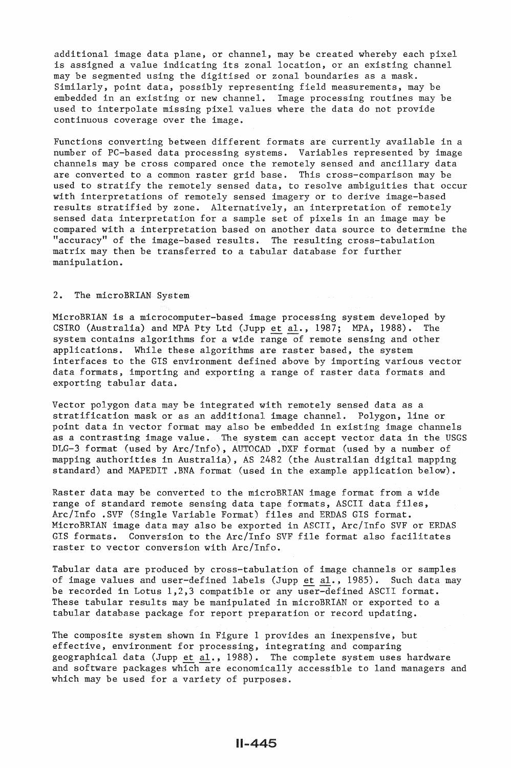additional image data plane, or channel, may be created whereby each pixel is assigned a value indicating its zonal location, or an existing channel may be segmented using the digitised or zonal boundaries as a mask. Similarly, point data, possibly representing field measurements, may be embedded in an existing or new channel. Image processing routines may be used to interpolate missing pixel values where the data do not provide continuous coverage over the image.

Functions converting between different formats are currently available in a number of PC-based data processing systems. Variables represented by image channels may be cross compared once the remotely sensed and ancillary data are converted to a common raster grid base. This cross-comparison may be used to stratify the remotely sensed data, to resolve ambiguities that occur with interpretations of remotely sensed imagery or to derive image-based results stratified by zone. Alternatively, an interpretation of remotely sensed data interpretation for a sample set of pixels in an image may be compared with a interpretation based on another data source to determine the "accuracy" of the image-based results. The resulting cross-tabulation matrix may then be transferred to a tabular database for further manipulation.

## 2. The microBRIAN System

MicroBRIAN is a microcomputer-based image processing system developed by CSIRO (Australia) and MPA Pty Ltd (Jupp et al., 1987; MPA, 1988). The system contains algorithms for a wide range of remote sensing and other applications. While these algorithms are raster based, the system interfaces to the GIS environment defined above by importing various vector data formats, importing and exporting a range of raster data formats and exporting tabular data.

Vector polygon data may be integrated with remotely sensed data as a stratification mask or as an additional image channel. Polygon, line or point data in vector format may also be embedded in existing image channels as a contrasting image value. The system can accept vector data in the USGS DLG-3 format (used by Arc/Info), AUTOCAD .DXF format (used by a number of mapping authorities in Australia), AS 2482 (the Australian digital mapping standard) and MAPEDIT .BNA format (used in the example application below).

Raster data may be converted to the microBRIAN image format from a wide range of standard remote sensing data tape formats, ASCII data files, Arc/Info .SVF (Single Variable Format) files and ERDAS GIS format. MicroBRIAN image data may also be exported in ASCII, Arc/Info SVF or ERDAS GIS formats. Conversion to the Arc/Info SVF file format also facilitates raster to vector conversion with Arc/Info.

Tabular data are produced by cross-tabulation of image channels or samples of image values and user-defined labels (Jupp et al., 1985). Such data may be recorded in Lotus 1,2,3 compatible or any user-defined ASCII format. These tabular results may be manipulated in microBRIAN or exported to a tabular database package for report preparation or record updating.

The composite system shown in Figure 1 provides an inexpensive, but effective, environment for processing, integrating and comparing geographical data (Jupp et al., 1988). The complete system uses hardware and software packages which are economically accessible to land managers and which may be used for a variety of purposes.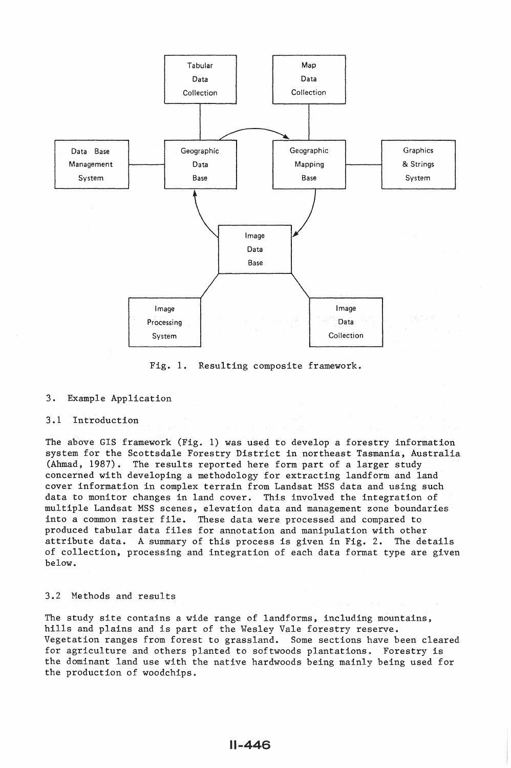

Fig. 1. Resulting composite framework.

### 3. Example Application

# 3.1 Introduction

The above GIS framework (Fig. 1) was used to develop a forestry information system for the Scottsdale Forestry District in northeast Tasmania, Australia (Ahmad, 1987). The results reported here form part of a larger study concerned with developing a methodology for extracting landform and land cover information in complex terrain from Landsat MSS data and using such data to monitor changes in land cover. This involved the integration of multiple Landsat MSS scenes, elevation data and management zone boundaries into a common raster file. These data were processed and compared to produced tabular data files for annotation and manipulation with other attribute data. A summary of this process is given in Fig. 2. The details of collection, processing and integration of each data format type are given below.

## 3.2 Methods and results

The study site contains a wide range of landforms, including mountains, hills and plains and is part of the Wesley Vale forestry reserve. Vegetation ranges from forest to grassland. Some sections have been cleared for agriculture and others planted to softwoods plantations. Forestry is the dominant land use with the native hardwoods being mainly being used for the production of woodchips.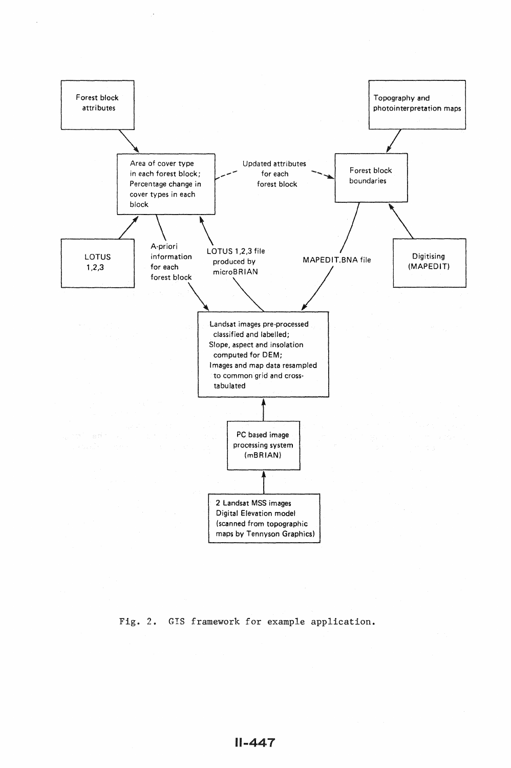

Fig. 2. GIS framework for example application.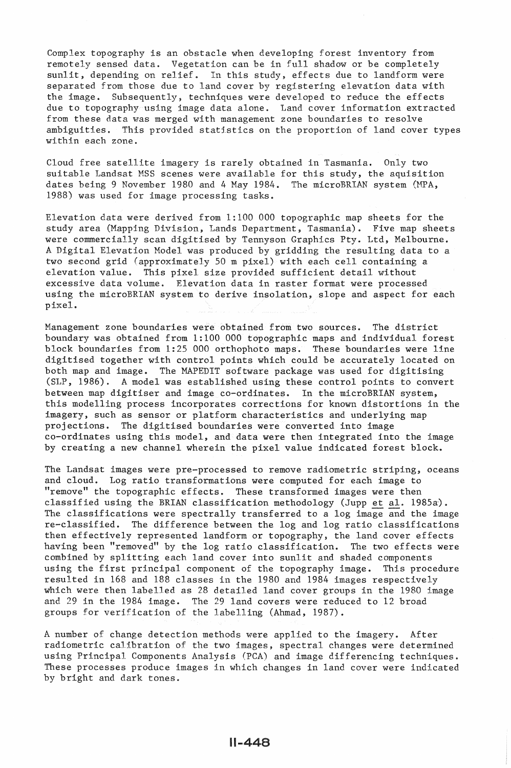Complex topography is an obstacle when developing forest inventory from remotely sensed data. Vegetation can be in full shadow or be completely sunlit, depending on relief. In this study, effects due to landform were separated from those due to land cover by registering elevation data with the image. Subsequently, techniques were developed to reduce the effects due to topography using image data alone. Land cover information extracted from these data was merged with management zone boundaries to resolve ambiguities. This provided statlstics on the proportion of land cover types within each zone.

Cloud free satellite imagery is rarely obtained in Tasmania. Only two suitable Landsat MSS scenes were available for this study, the aquisition dates being 9 November 1980 and 4 May 1984. The microBRIAN system (MPA, 1988) was used for image processing tasks.

Elevation data were derived from 1:100 000 topographic map sheets for the study area (Mapping Division, Lands Department, Tasmania). Five map sheets were commercially scan digitised by Tennyson Graphics Pty. Ltd, Melbourne. A Digital Elevation Model was produced by gridding the resulting data to a two second grid (approximately 50 m pixel) with each cell containing a elevation value. This pixel size provided sufficient detail without excessive data volume. Elevation data in raster format were processed using the microBRIAN system to derive insolation, slope and aspect for each pixel.

Management zone boundaries were obtained from two sources. The district boundary was obtained from 1:100 000 topographic maps and individual forest block boundaries from 1:25 000 orthophoto maps. These boundaries were line digitised together with control points which could be accurately located on both map and image. The MAPEDIT software package was used for digitising (SLP, 1986). A model was established using these control points to convert between map digitiser and image co-ordinates. In the microBRIAN system, this modelling process incorporates corrections for known distortions in the imagery, such as sensor or platform characteristics and underlying map projections. The digitised boundaries were converted into image co-ordinates using this model, and data were then integrated into the image by creating a new channel wherein the pixel value indicated forest block.

The Landsat images were pre-processed to remove radiometric striping, oceans and cloud. Log ratio transformations were computed for each image to "remove" the topographic effects. These transformed images were then classified using the BRIAN classification methodology (Jupp et al. 1985a). The classifications were spectrally transferred to a log image and the image re-classified. The difference between the log and log ratio classifications then effectively represented landform or topography, the land cover effects having been "removed" by the log ratio classification. The two effects were combined by splitting each land cover into sunlit and shaded components using the first principal component of the topography image. This procedure resulted in 168 and 188 classes in the 1980 and 1984 images respectively which were then labelled as 28 detailed land cover groups in the 1980 image and 29 in the 1984 image. The 29 land covers were reduced to 12 broad groups for verification of the labelling (Ahmad, 1987).

A number of change detection methods were applied to the imagery. After radiometric calibration of the two images, spectral changes were determined using Principal Components Analysis (PCA) and image differencing techniques. These processes produce images in which changes in land cover were indicated by bright and dark tones.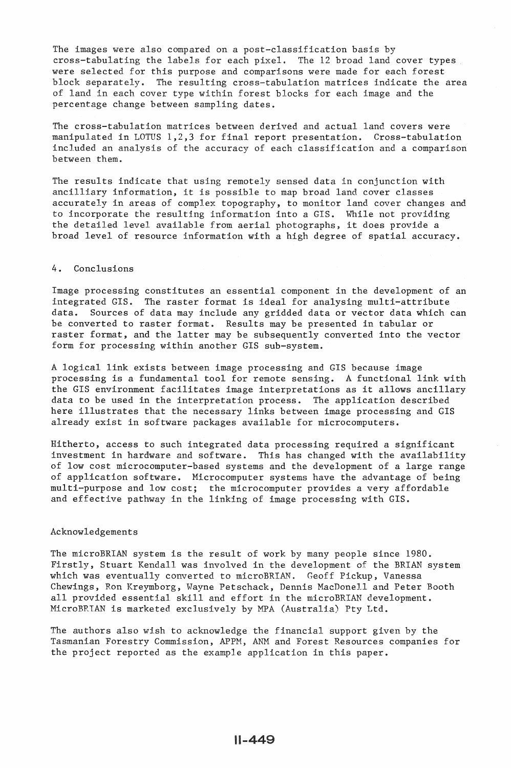The images were also compared on a post-classification basis by cross-tabulating the labels for each pixel. The 12 broad land cover types were selected for this purpose and comparisons were made for each forest block separately. The resulting cross-tabulation matrices indicate the area of land in each cover type within forest blocks for each image and the percentage change between sampling dates.

The cross-tabulation matrices between derived and actual land covers were manipulated in LOTUS 1,2,3 for final report presentation. Cross-tabulation included an analysis of the accuracy of each classification and a comparison between them.

The results indicate that using remotely sensed data in conjunction with ancilliary information, it is possible to map broad land cover classes accurately in areas of complex topography, to monitor land cover changes and to incorporate the resulting information into a GIS. While not providing the detailed level available from aerial photographs, it does provide a broad level of resource information with a high degree of spatial accuracy.

#### 4. Conclusions

Image processing constitutes an essential component in the development of an integrated GIS. The raster format is ideal for analysing multi-attribute data. Sources of data may include any gridded data or vector data which can be converted to raster format. Results may be presented in tabular or raster format, and the latter may be subsequently converted into the vector form for processing within another GIS sub-system.

A logical link exists between image processing and GIS because image processing is a fundamental tool for remote sensing. A functional link with the GIS environment facilitates image interpretations as it allows ancillary data to be used in the interpretation process. The application described here illustrates that the necessary links between image processing and GIS already exist in software packages available for microcomputers.

Hitherto, access to such integrated data processing required a significant investment in hardware and software. This has changed with the availability of low cost microcomputer-based systems and the development of a large range of application software. Microcomputer systems have the advantage of being multi-purpose and low cost; the microcomputer provides a very affordable and effective pathway in the linking of image processing with GIS.

### Acknowledgements

The microBRIAN system is the result of work by many people since 1980. Firstly, Stuart Kendall was involved in the development of the BRIAN system which was eventually converted to microBRIAN. Geoff Pickup, Vanessa Chewings, Ron Kreymborg, Wayne Petschack, Dennis MacDonell and Peter Booth all provided essential skill and effort in the microBRIAN development. MicroBR1AN is marketed exclusively by MPA (Australia) Pty Ltd.

The authors also wish to acknowledge the financial support given by the Tasmanian Forestry Commission, APPM, ANM and Forest Resources companies for the project reported as the example application in this paper.